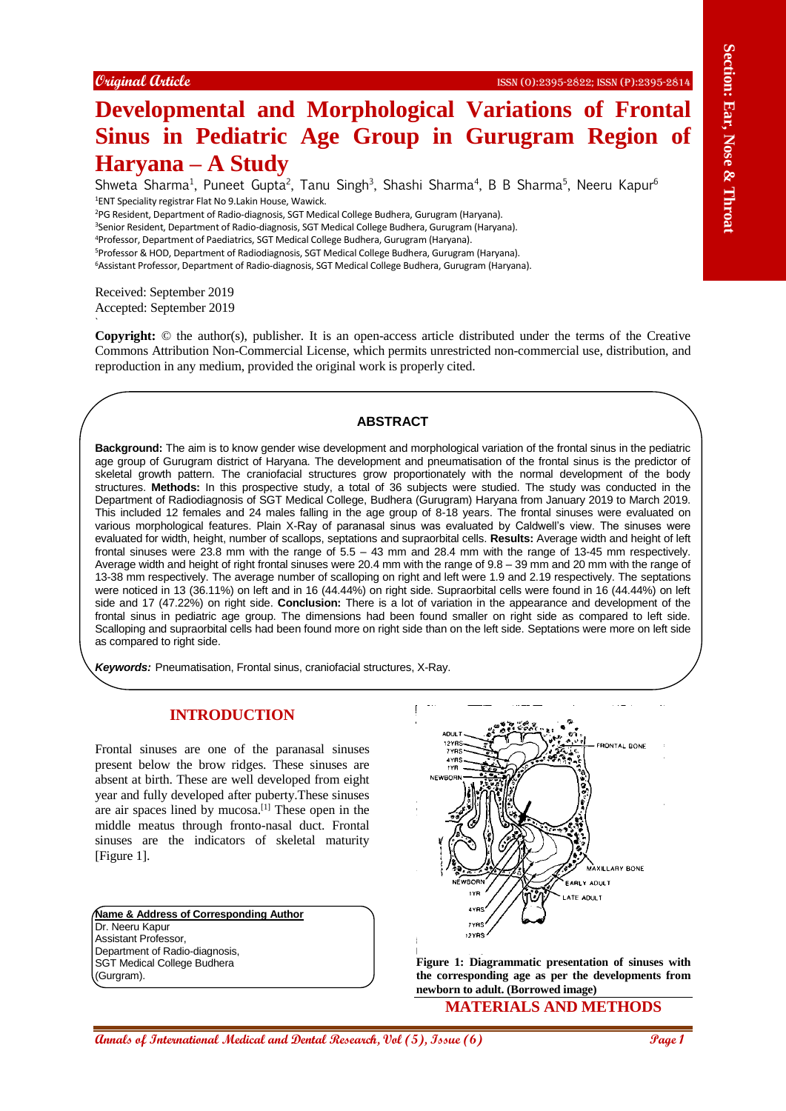# **Developmental and Morphological Variations of Frontal Sinus in Pediatric Age Group in Gurugram Region of Haryana – A Study**

Shweta Sharma<sup>1</sup>, Puneet Gupta<sup>2</sup>, Tanu Singh<sup>3</sup>, Shashi Sharma<sup>4</sup>, B B Sharma<sup>5</sup>, Neeru Kapur<sup>6</sup> <sup>1</sup>ENT Speciality registrar Flat No 9.Lakin House, Wawick.

<sup>2</sup>PG Resident, Department of Radio-diagnosis, SGT Medical College Budhera, Gurugram (Haryana).

<sup>3</sup>Senior Resident, Department of Radio-diagnosis, SGT Medical College Budhera, Gurugram (Haryana).

<sup>4</sup>Professor, Department of Paediatrics, SGT Medical College Budhera, Gurugram (Haryana).

<sup>5</sup>Professor & HOD, Department of Radiodiagnosis, SGT Medical College Budhera, Gurugram (Haryana). <sup>6</sup>Assistant Professor, Department of Radio-diagnosis, SGT Medical College Budhera, Gurugram (Haryana).

Received: September 2019 Accepted: September 2019

`

**Copyright:** © the author(s), publisher. It is an open-access article distributed under the terms of the Creative Commons Attribution Non-Commercial License, which permits unrestricted non-commercial use, distribution, and reproduction in any medium, provided the original work is properly cited.

#### **ABSTRACT**

Comparis of International **And Medical and Medical and Medical Annual Research, The Comparison of Frontier Higgs Comparison of Free Equation of Free Equation of Free Equation (16) Section (16) Section (16) Section (16) Background:** The aim is to know gender wise development and morphological variation of the frontal sinus in the pediatric age group of Gurugram district of Haryana. The development and pneumatisation of the frontal sinus is the predictor of skeletal growth pattern. The craniofacial structures grow proportionately with the normal development of the body structures. **Methods:** In this prospective study, a total of 36 subjects were studied. The study was conducted in the Department of Radiodiagnosis of SGT Medical College, Budhera (Gurugram) Haryana from January 2019 to March 2019. This included 12 females and 24 males falling in the age group of 8-18 years. The frontal sinuses were evaluated on various morphological features. Plain X-Ray of paranasal sinus was evaluated by Caldwell's view. The sinuses were evaluated for width, height, number of scallops, septations and supraorbital cells. **Results:** Average width and height of left frontal sinuses were 23.8 mm with the range of 5.5 – 43 mm and 28.4 mm with the range of 13-45 mm respectively. Average width and height of right frontal sinuses were 20.4 mm with the range of 9.8 – 39 mm and 20 mm with the range of 13-38 mm respectively. The average number of scalloping on right and left were 1.9 and 2.19 respectively. The septations were noticed in 13 (36.11%) on left and in 16 (44.44%) on right side. Supraorbital cells were found in 16 (44.44%) on left side and 17 (47.22%) on right side. **Conclusion:** There is a lot of variation in the appearance and development of the frontal sinus in pediatric age group. The dimensions had been found smaller on right side as compared to left side. Scalloping and supraorbital cells had been found more on right side than on the left side. Septations were more on left side as compared to right side.

*Keywords:* Pneumatisation, Frontal sinus, craniofacial structures, X-Ray.

# **INTRODUCTION**

Frontal sinuses are one of the paranasal sinuses present below the brow ridges. These sinuses are absent at birth. These are well developed from eight year and fully developed after puberty.These sinuses are air spaces lined by mucosa.[1] These open in the middle meatus through fronto-nasal duct. Frontal sinuses are the indicators of skeletal maturity [Figure 1].

**Name & Address of Corresponding Author** Dr. Neeru Kapur Assistant Professor, Department of Radio-diagnosis, SGT Medical College Budhera (Gurgram).



**Figure 1: Diagrammatic presentation of sinuses with the corresponding age as per the developments from newborn to adult. (Borrowed image)**

**MATERIALS AND METHODS**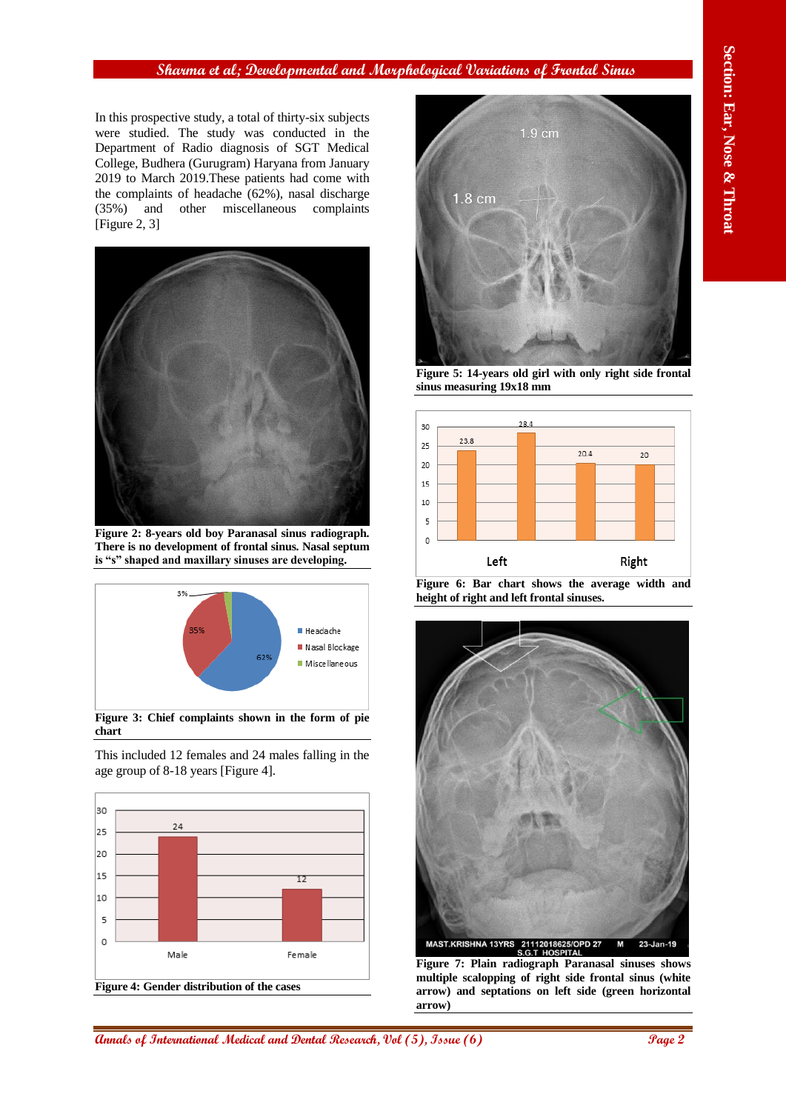# **Sharma et al; Developmental and Morphological Variations of Frontal Sinus**

In this prospective study, a total of thirty-six subjects were studied. The study was conducted in the Department of Radio diagnosis of SGT Medical College, Budhera (Gurugram) Haryana from January 2019 to March 2019.These patients had come with the complaints of headache (62%), nasal discharge (35%) and other miscellaneous complaints [Figure 2, 3]



**Figure 2: 8-years old boy Paranasal sinus radiograph. There is no development of frontal sinus. Nasal septum is "s" shaped and maxillary sinuses are developing.**



This included 12 females and 24 males falling in the age group of 8-18 years [Figure 4].





**Figure 5: 14-years old girl with only right side frontal sinus measuring 19x18 mm**







**Figure 7: Plain radiograph Paranasal sinuses shows multiple scalopping of right side frontal sinus (white arrow) and septations on left side (green horizontal arrow)**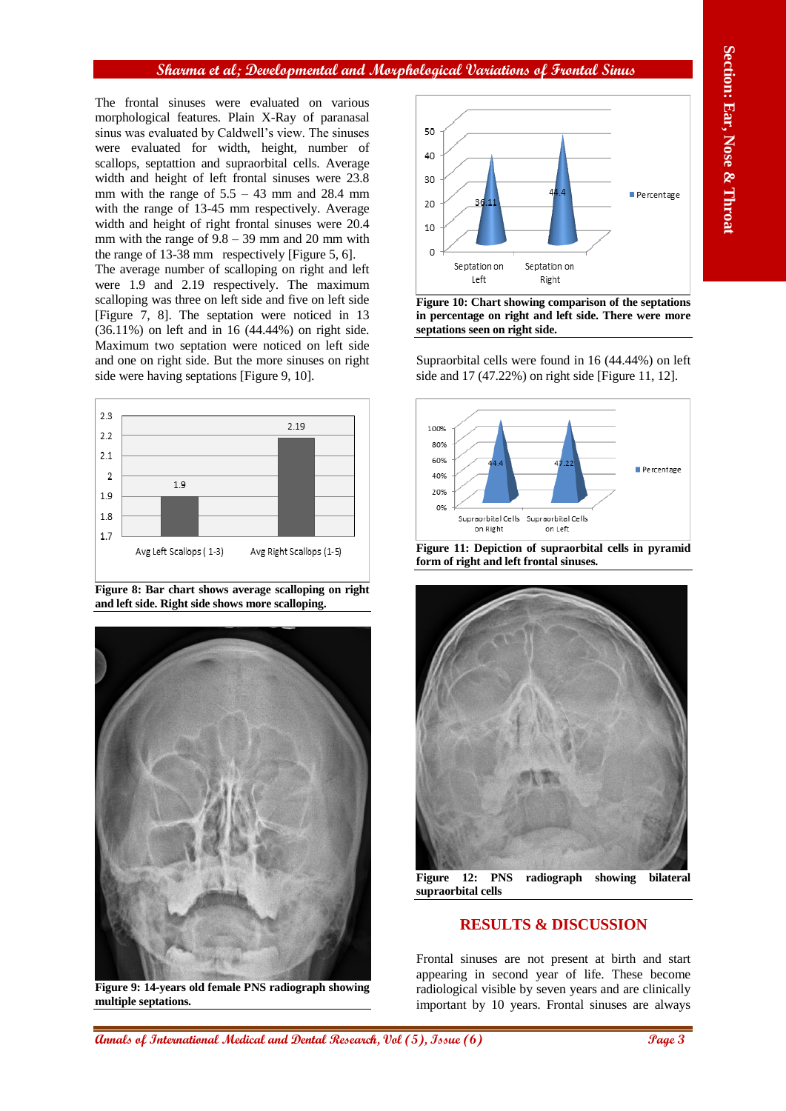# **Sharma et al; Developmental and Morphological Variations of Frontal Sinus**

The frontal sinuses were evaluated on various morphological features. Plain X-Ray of paranasal sinus was evaluated by Caldwell's view. The sinuses were evaluated for width, height, number of scallops, septattion and supraorbital cells. Average width and height of left frontal sinuses were 23.8 mm with the range of  $5.5 - 43$  mm and 28.4 mm with the range of 13-45 mm respectively. Average width and height of right frontal sinuses were 20.4 mm with the range of  $9.8 - 39$  mm and 20 mm with the range of 13-38 mm respectively [Figure 5, 6]. The average number of scalloping on right and left were 1.9 and 2.19 respectively. The maximum scalloping was three on left side and five on left side [Figure 7, 8]. The septation were noticed in 13 (36.11%) on left and in 16 (44.44%) on right side. Maximum two septation were noticed on left side and one on right side. But the more sinuses on right



side were having septations [Figure 9, 10].

**Figure 8: Bar chart shows average scalloping on right and left side. Right side shows more scalloping.**



**Figure 9: 14-years old female PNS radiograph showing multiple septations.**



**Figure 10: Chart showing comparison of the septations in percentage on right and left side. There were more septations seen on right side.**

Supraorbital cells were found in 16 (44.44%) on left side and 17 (47.22%) on right side [Figure 11, 12].



**Figure 11: Depiction of supraorbital cells in pyramid form of right and left frontal sinuses.**



**Figure 12: PNS radiograph showing bilateral supraorbital cells**

# **RESULTS & DISCUSSION**

Frontal sinuses are not present at birth and start appearing in second year of life. These become radiological visible by seven years and are clinically important by 10 years. Frontal sinuses are always